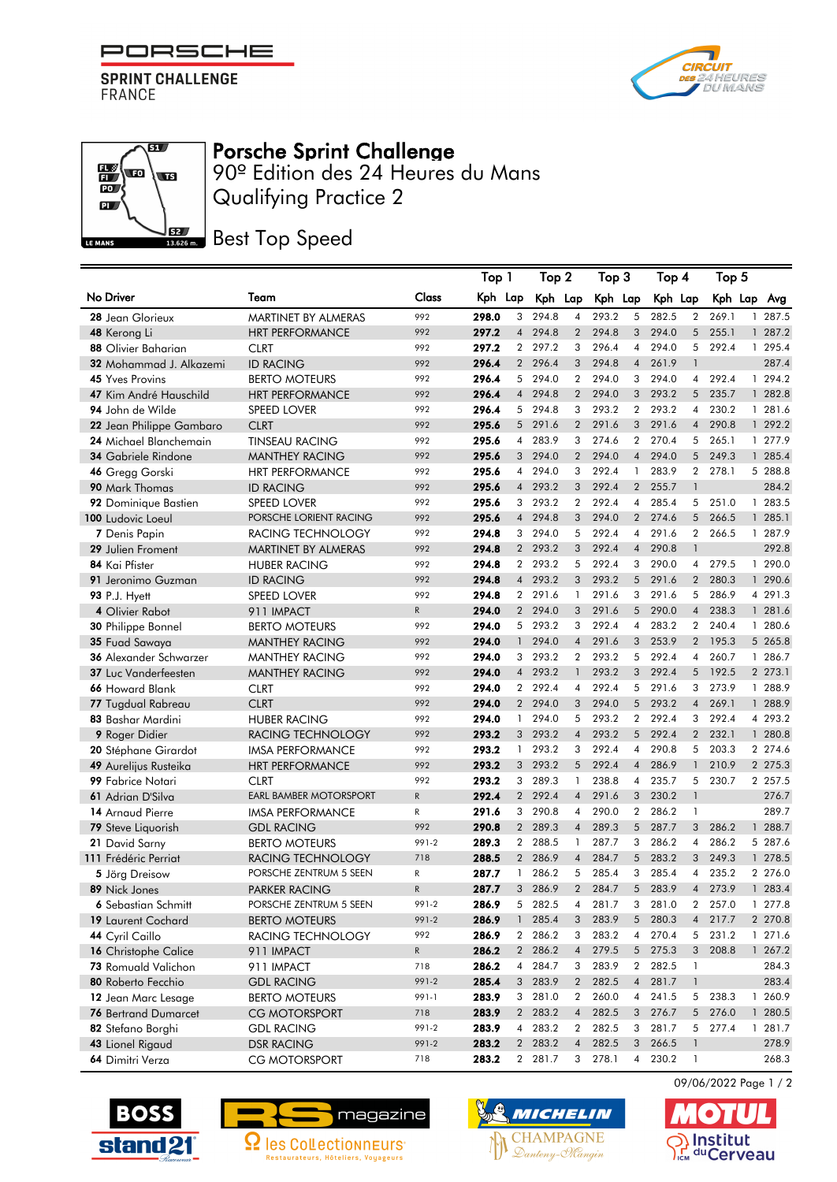

**SPRINT CHALLENGE** FRANCE

**THE** 

 $\mathbb{E}\left( \mathbf{E}\right)$ 

 $\overline{PQ}$  $\overline{\mathbf{a}}$ 

LE MANS



## Porsche Sprint Challenge

Qualifying Practice 2 90º Edition des 24 Heures du Mans

**BEZ** Best Top Speed

|                                       |                                              |              | Top 1          |                | Top 2          |                   | Top 3          |                     | Top 4          |                   | Top 5          |              |                    |
|---------------------------------------|----------------------------------------------|--------------|----------------|----------------|----------------|-------------------|----------------|---------------------|----------------|-------------------|----------------|--------------|--------------------|
| No Driver                             | Team                                         | Class        | Kph Lap        |                | Kph Lap        |                   | Kph Lap        |                     | Kph Lap        |                   | Kph Lap        |              | Avg                |
| 28 Jean Glorieux                      | MARTINET BY ALMERAS                          | 992          | 298.0          | 3              | 294.8          | $\overline{4}$    | 293.2          | 5                   | 282.5          | $\overline{2}$    | 269.1          |              | 1 287.5            |
| 48 Kerong Li                          | <b>HRT PERFORMANCE</b>                       | 992          | 297.2          | $\overline{4}$ | 294.8          | $\overline{2}$    | 294.8          | 3                   | 294.0          | 5                 | 255.1          |              | 1 287.2            |
| 88 Olivier Baharian                   | <b>CLRT</b>                                  | 992          | 297.2          |                | 2 297.2        | 3                 | 296.4          | $\overline{4}$      | 294.0          | 5                 | 292.4          |              | 1 295.4            |
| 32 Mohammad J. Alkazemi               | <b>ID RACING</b>                             | 992          | 296.4          | $\overline{2}$ | 296.4          | 3                 | 294.8          | $\overline{4}$      | 261.9          | $\mathbf{1}$      |                |              | 287.4              |
| <b>45</b> Yves Provins                | <b>BERTO MOTEURS</b>                         | 992          | 296.4          | 5              | 294.0          | $\overline{2}$    | 294.0          | 3                   | 294.0          | 4                 | 292.4          |              | 1 294.2            |
| 47 Kim André Hauschild                | <b>HRT PERFORMANCE</b>                       | 992          | 296.4          | $\overline{4}$ | 294.8          | $\overline{2}$    | 294.0          | 3 <sup>1</sup>      | 293.2          |                   | 5 235.7        |              | 1 282.8            |
| 94 John de Wilde                      | <b>SPEED LOVER</b>                           | 992          | 296.4          | 5              | 294.8          | 3                 | 293.2          | $\overline{2}$      | 293.2          | 4                 | 230.2          |              | 1 281.6            |
| 22 Jean Philippe Gambaro              | <b>CLRT</b>                                  | 992          | 295.6          | 5 <sup>5</sup> | 291.6          | $\overline{2}$    | 291.6          | 3                   | 291.6          | $\overline{4}$    | 290.8          |              | 1 292.2            |
| 24 Michael Blanchemain                | <b>TINSEAU RACING</b>                        | 992          | 295.6          | $\overline{4}$ | 283.9          | 3                 | 274.6          |                     | 2 270.4        | 5                 | 265.1          |              | 1 277.9            |
| 34 Gabriele Rindone                   | <b>MANTHEY RACING</b>                        | 992          | 295.6          | 3              | 294.0          | $\overline{2}$    | 294.0          | $\overline{4}$      | 294.0          | 5                 | 249.3          |              | 1 285.4            |
| 46 Gregg Gorski                       | <b>HRT PERFORMANCE</b>                       | 992          | 295.6          | 4              | 294.0          | 3                 | 292.4          | 1                   | 283.9          | $\overline{2}$    | 278.1          |              | 5 288.8            |
| 90 Mark Thomas                        | <b>ID RACING</b>                             | 992          | 295.6          | $\overline{4}$ | 293.2          | 3                 | 292.4          | $\overline{2}$      | 255.7          | $\mathbf{1}$      |                |              | 284.2              |
| 92 Dominique Bastien                  | <b>SPEED LOVER</b>                           | 992          | 295.6          | 3              | 293.2          | $\overline{2}$    | 292.4          | 4                   | 285.4          | 5                 | 251.0          |              | 1 283.5            |
| 100 Ludovic Loeul                     | PORSCHE LORIENT RACING                       | 992          | 295.6          | $\overline{4}$ | 294.8          | 3                 | 294.0          | $\overline{2}$      | 274.6          | 5                 | 266.5          |              | 1 285.1            |
| 7 Denis Papin                         | RACING TECHNOLOGY                            | 992          | 294.8          | 3 <sup>1</sup> | 294.0          | 5                 | 292.4          | $\overline{4}$      | 291.6          | $\overline{2}$    | 266.5          |              | 1 287.9            |
| 29 Julien Froment                     | MARTINET BY ALMERAS                          | 992          | 294.8          | $\overline{2}$ | 293.2          | 3                 | 292.4          | $\overline{4}$      | 290.8          | $\mathbf{1}$      |                |              | 292.8              |
| 84 Kai Pfister                        | <b>HUBER RACING</b>                          | 992          | 294.8          | $\overline{2}$ | 293.2          | 5                 | 292.4          | 3                   | 290.0          | 4                 | 279.5          |              | 1 290.0            |
| 91 Jeronimo Guzman                    | <b>ID RACING</b>                             | 992          | 294.8          |                | 4 293.2        | 3                 | 293.2          | 5                   | 291.6          |                   | 2 280.3        |              | 1 290.6            |
| <b>93 P.J. Hyett</b>                  | SPEED LOVER                                  | 992          | 294.8          |                | 2 291.6        | $\mathbf{1}$      | 291.6          | 3                   | 291.6          | 5                 | 286.9          |              | 4 291.3            |
| 4 Olivier Rabot                       | 911 IMPACT                                   | $\mathsf{R}$ | 294.0          |                | 2 294.0        | 3                 | 291.6          | 5                   | 290.0          | $\overline{4}$    | 238.3          |              | 1 281.6            |
| <b>30 Philippe Bonnel</b>             | <b>BERTO MOTEURS</b>                         | 992          | 294.0          |                | 5 293.2        | 3                 | 292.4          | $\overline{4}$      | 283.2          | $\overline{2}$    | 240.4          |              | 1 280.6            |
| 35 Fuad Sawava                        | <b>MANTHEY RACING</b>                        | 992          | 294.0          | $\mathbf{1}$   | 294.0          | $\overline{4}$    | 291.6          | 3                   | 253.9          | $\overline{2}$    | 195.3          |              | 5 265.8            |
| 36 Alexander Schwarzer                | <b>MANTHEY RACING</b>                        | 992          | 294.0          | 3              | 293.2          | $\overline{2}$    | 293.2          | 5                   | 292.4          | 4                 | 260.7          |              | 1 286.7            |
| <b>37 Luc Vanderfeesten</b>           | <b>MANTHEY RACING</b>                        | 992          | 294.0          |                | 4 293.2        | $\mathbf{1}$      | 293.2          | 3                   | 292.4          |                   | 5 192.5        |              | 2 273.1            |
| 66 Howard Blank                       | <b>CLRT</b>                                  | 992          | 294.0          |                | 2 292.4        | 4                 | 292.4          | 5                   | 291.6          |                   | 3 273.9        |              | 1 288.9            |
| 77 Tugdual Rabreau                    | <b>CLRT</b>                                  | 992          | 294.0          |                | 2 294.0        | 3                 | 294.0          | 5                   | 293.2          | $\overline{4}$    | 269.1          |              | 1 288.9            |
| 83 Bashar Mardini                     | <b>HUBER RACING</b>                          | 992          | 294.0          | $\mathbf{1}$   | 294.0          | 5                 | 293.2          |                     | 2 292.4        | 3                 | 292.4          |              | 4 293.2            |
| 9 Roger Didier                        | RACING TECHNOLOGY                            | 992          | 293.2          | 3              | 293.2<br>293.2 | $\overline{4}$    | 293.2<br>292.4 | 5                   | 292.4<br>290.8 | $\overline{2}$    | 232.1          |              | 1 280.8            |
| 20 Stéphane Girardot                  | <b>IMSA PERFORMANCE</b>                      | 992          | 293.2          | $\mathbf{1}$   |                | 3                 |                | 4                   |                | 5                 | 203.3          |              | 2 274.6            |
| 49 Aurelijus Rusteika                 | <b>HRT PERFORMANCE</b>                       | 992<br>992   | 293.2<br>293.2 | 3<br>3         | 293.2<br>289.3 | 5<br>$\mathbf{1}$ | 292.4<br>238.8 | $\overline{4}$<br>4 | 286.9<br>235.7 | $\mathbf{1}$<br>5 | 210.9<br>230.7 |              | 2 275.3<br>2 257.5 |
| 99 Fabrice Notari                     | <b>CLRT</b><br><b>EARL BAMBER MOTORSPORT</b> | ${\sf R}$    | 292.4          | $\overline{2}$ | 292.4          | $\overline{4}$    | 291.6          | 3                   | 230.2          | $\mathbf{1}$      |                |              | 276.7              |
| 61 Adrian D'Silva<br>14 Arnaud Pierre |                                              | R            | 291.6          | 3              | 290.8          | $\overline{4}$    | 290.0          | $\overline{2}$      | 286.2          | 1                 |                |              | 289.7              |
| 79 Steve Liquorish                    | <b>IMSA PERFORMANCE</b>                      | 992          | 290.8          | $\overline{2}$ | 289.3          | $\overline{4}$    | 289.3          | 5                   | 287.7          | 3                 | 286.2          | $\mathbf{1}$ | 288.7              |
| 21 David Sarny                        | <b>GDL RACING</b><br><b>BERTO MOTEURS</b>    | 991-2        | 289.3          | $\overline{2}$ | 288.5          | $\mathbf{1}$      | 287.7          | 3                   | 286.2          | 4                 | 286.2          |              | 5 287.6            |
| 111 Frédéric Perrigt                  | RACING TECHNOLOGY                            | 718          | 288.5          |                | 2 286.9        | $\overline{4}$    | 284.7          | 5                   | 283.2          |                   | 3 249.3        |              | 1 278.5            |
| <b>5</b> Jörg Dreisow                 | PORSCHE ZENTRUM 5 SEEN                       | R            | 287.7          | $\mathbf{1}$   | 286.2          | 5                 | 285.4          | 3                   | 285.4          | 4                 | 235.2          |              | 2 276.0            |
| 89 Nick Jones                         | <b>PARKER RACING</b>                         | R            | 287.7          | 3 <sup>1</sup> | 286.9          | $\overline{2}$    | 284.7          | 5                   | 283.9          | $\overline{4}$    | 273.9          |              | 1 283.4            |
| 6 Sebastian Schmitt                   | PORSCHE ZENTRUM 5 SEEN                       | 991-2        | 286.9          | 5 <sub>5</sub> | 282.5          | 4                 | 281.7          | 3                   | 281.0          | 2                 | 257.0          |              | 1 277.8            |
| 19 Laurent Cochard                    | BERTO MOTEURS                                | 991-2        | 286.9          | $\mathbf{1}$   | 285.4          | 3                 | 283.9          | 5                   | 280.3          | $\overline{4}$    | 217.7          |              | 2 270.8            |
| 44 Cyril Caillo                       | RACING TECHNOLOGY                            | 992          | 286.9          | $\mathbf{2}$   | 286.2          | 3                 | 283.2          | 4                   | 270.4          | 5                 | 231.2          |              | 1 271.6            |
| 16 Christophe Calice                  | 911 IMPACT                                   | $\mathsf{R}$ | 286.2          |                | 2 286.2        | $\overline{4}$    | 279.5          |                     | 5 275.3        |                   | 3 208.8        |              | 1 267.2            |
| 73 Romuald Valichon                   | 911 IMPACT                                   | 718          | 286.2          | $\overline{4}$ | 284.7          | 3                 | 283.9          |                     | 2 282.5        | 1                 |                |              | 284.3              |
| 80 Roberto Fecchio                    | <b>GDL RACING</b>                            | 991-2        | 285.4          |                | 3 283.9        | $2^{\circ}$       | 282.5          | $\overline{4}$      | 281.7          | $\mathbf{1}$      |                |              | 283.4              |
| 12 Jean Marc Lesage                   | <b>BERTO MOTEURS</b>                         | 991-1        | 283.9          |                | 3 281.0        | $\overline{2}$    | 260.0          |                     | 4 241.5        | 5                 | 238.3          |              | 1 260.9            |
| <b>76 Bertrand Dumarcet</b>           | <b>CG MOTORSPORT</b>                         | 718          | 283.9          |                | 2 283.2        | $\overline{4}$    | 282.5          | 3                   | 276.7          | 5                 | 276.0          |              | 1 280.5            |
| 82 Stefano Borghi                     | <b>GDL RACING</b>                            | 991-2        | 283.9          | 4              | 283.2          | $\overline{2}$    | 282.5          | 3                   | 281.7          | 5                 | 277.4          |              | 1 281.7            |
| 43 Lionel Rigaud                      | <b>DSR RACING</b>                            | 991-2        | 283.2          |                | 2 283.2        | $\overline{4}$    | 282.5          |                     | 3 266.5        | $\mathbf{1}$      |                |              | 278.9              |
| 64 Dimitri Verza                      | <b>CG MOTORSPORT</b>                         | 718          | 283.2          |                | 2 281.7        |                   | 3 278.1        |                     | 4 230.2        | 1                 |                |              | 268.3              |